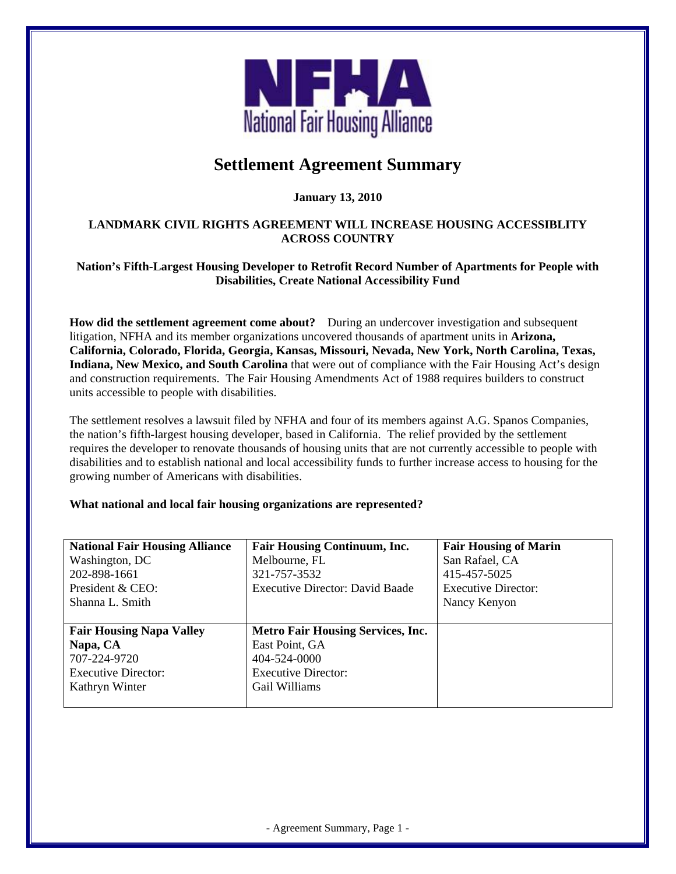

# **Settlement Agreement Summary**

## **January 13, 2010**

### **LANDMARK CIVIL RIGHTS AGREEMENT WILL INCREASE HOUSING ACCESSIBLITY ACROSS COUNTRY**

#### **Nation's Fifth-Largest Housing Developer to Retrofit Record Number of Apartments for People with Disabilities, Create National Accessibility Fund**

**How did the settlement agreement come about?** During an undercover investigation and subsequent litigation, NFHA and its member organizations uncovered thousands of apartment units in **Arizona, California, Colorado, Florida, Georgia, Kansas, Missouri, Nevada, New York, North Carolina, Texas, Indiana, New Mexico, and South Carolina** that were out of compliance with the Fair Housing Act's design and construction requirements. The Fair Housing Amendments Act of 1988 requires builders to construct units accessible to people with disabilities.

The settlement resolves a lawsuit filed by NFHA and four of its members against A.G. Spanos Companies, the nation's fifth-largest housing developer, based in California. The relief provided by the settlement requires the developer to renovate thousands of housing units that are not currently accessible to people with disabilities and to establish national and local accessibility funds to further increase access to housing for the growing number of Americans with disabilities.

### **What national and local fair housing organizations are represented?**

| <b>National Fair Housing Alliance</b> | <b>Fair Housing Continuum, Inc.</b>      | <b>Fair Housing of Marin</b> |
|---------------------------------------|------------------------------------------|------------------------------|
| Washington, DC                        | Melbourne, FL                            | San Rafael, CA               |
| 202-898-1661                          | 321-757-3532                             | 415-457-5025                 |
| President & CEO:                      | Executive Director: David Baade          | <b>Executive Director:</b>   |
| Shanna L. Smith                       |                                          | Nancy Kenyon                 |
|                                       |                                          |                              |
| <b>Fair Housing Napa Valley</b>       | <b>Metro Fair Housing Services, Inc.</b> |                              |
|                                       |                                          |                              |
| Napa, CA                              | East Point, GA                           |                              |
| 707-224-9720                          | 404-524-0000                             |                              |
| <b>Executive Director:</b>            | <b>Executive Director:</b>               |                              |
| Kathryn Winter                        | Gail Williams                            |                              |

- Agreement Summary, Page 1 -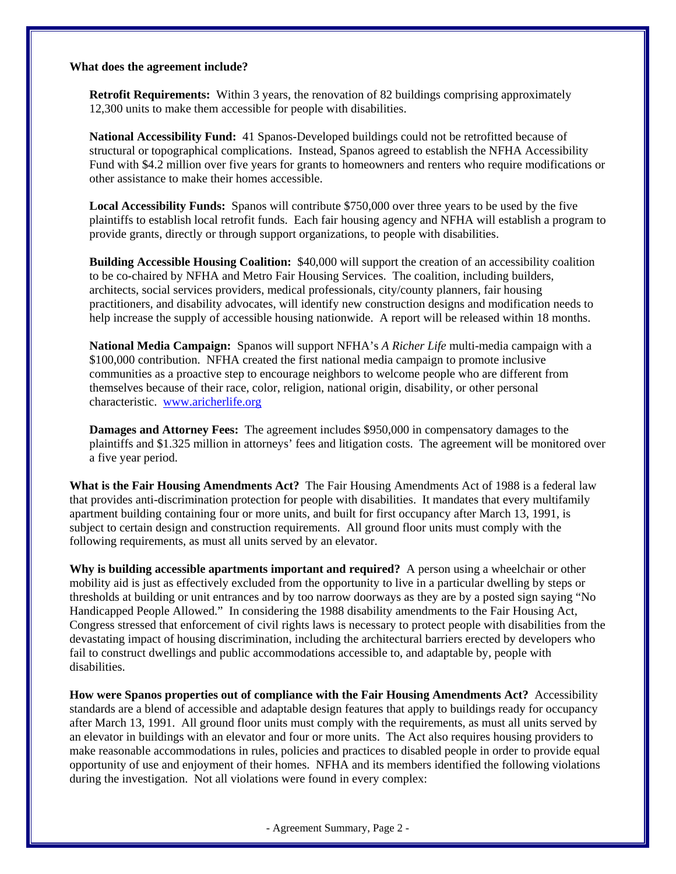#### **What does the agreement include?**

**Retrofit Requirements:** Within 3 years, the renovation of 82 buildings comprising approximately 12,300 units to make them accessible for people with disabilities.

**National Accessibility Fund:** 41 Spanos-Developed buildings could not be retrofitted because of structural or topographical complications. Instead, Spanos agreed to establish the NFHA Accessibility Fund with \$4.2 million over five years for grants to homeowners and renters who require modifications or other assistance to make their homes accessible.

**Local Accessibility Funds:** Spanos will contribute \$750,000 over three years to be used by the five plaintiffs to establish local retrofit funds. Each fair housing agency and NFHA will establish a program to provide grants, directly or through support organizations, to people with disabilities.

**Building Accessible Housing Coalition:** \$40,000 will support the creation of an accessibility coalition to be co-chaired by NFHA and Metro Fair Housing Services. The coalition, including builders, architects, social services providers, medical professionals, city/county planners, fair housing practitioners, and disability advocates, will identify new construction designs and modification needs to help increase the supply of accessible housing nationwide. A report will be released within 18 months.

**National Media Campaign:** Spanos will support NFHA's *A Richer Life* multi-media campaign with a \$100,000 contribution. NFHA created the first national media campaign to promote inclusive communities as a proactive step to encourage neighbors to welcome people who are different from themselves because of their race, color, religion, national origin, disability, or other personal characteristic. [www.aricherlife.org](http://www.aricherlife.org/)

**Damages and Attorney Fees:** The agreement includes \$950,000 in compensatory damages to the plaintiffs and \$1.325 million in attorneys' fees and litigation costs. The agreement will be monitored over a five year period.

**What is the Fair Housing Amendments Act?** The Fair Housing Amendments Act of 1988 is a federal law that provides anti-discrimination protection for people with disabilities. It mandates that every multifamily apartment building containing four or more units, and built for first occupancy after March 13, 1991, is subject to certain design and construction requirements. All ground floor units must comply with the following requirements, as must all units served by an elevator.

**Why is building accessible apartments important and required?** A person using a wheelchair or other mobility aid is just as effectively excluded from the opportunity to live in a particular dwelling by steps or thresholds at building or unit entrances and by too narrow doorways as they are by a posted sign saying "No Handicapped People Allowed." In considering the 1988 disability amendments to the Fair Housing Act, Congress stressed that enforcement of civil rights laws is necessary to protect people with disabilities from the devastating impact of housing discrimination, including the architectural barriers erected by developers who fail to construct dwellings and public accommodations accessible to, and adaptable by, people with disabilities.

**How were Spanos properties out of compliance with the Fair Housing Amendments Act?** Accessibility standards are a blend of accessible and adaptable design features that apply to buildings ready for occupancy after March 13, 1991. All ground floor units must comply with the requirements, as must all units served by an elevator in buildings with an elevator and four or more units. The Act also requires housing providers to make reasonable accommodations in rules, policies and practices to disabled people in order to provide equal opportunity of use and enjoyment of their homes. NFHA and its members identified the following violations during the investigation. Not all violations were found in every complex:

- Agreement Summary, Page 2 -